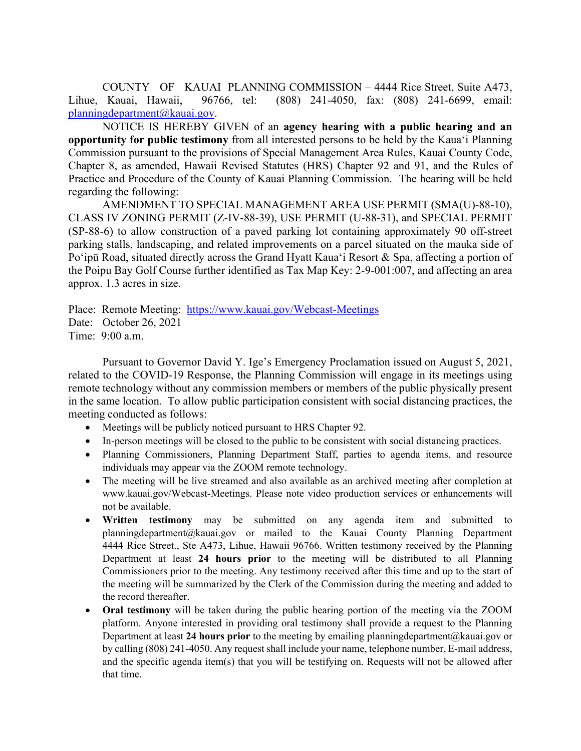COUNTY OF KAUAI PLANNING COMMISSION – 4444 Rice Street, Suite A473, Lihue, Kauai, Hawaii, 96766, tel: (808) 241-4050, fax: (808) 241-6699, email: planningdepartment@kauai.gov.

NOTICE IS HEREBY GIVEN of an **agency hearing with a public hearing and an opportunity for public testimony** from all interested persons to be held by the Kaua'i Planning Commission pursuant to the provisions of Special Management Area Rules, Kauai County Code, Chapter 8, as amended, Hawaii Revised Statutes (HRS) Chapter 92 and 91, and the Rules of Practice and Procedure of the County of Kauai Planning Commission. The hearing will be held regarding the following:

 AMENDMENT TO SPECIAL MANAGEMENT AREA USE PERMIT (SMA(U)-88-10), CLASS IV ZONING PERMIT (Z-IV-88-39), USE PERMIT (U-88-31), and SPECIAL PERMIT (SP-88-6) to allow construction of a paved parking lot containing approximately 90 off-street parking stalls, landscaping, and related improvements on a parcel situated on the mauka side of Po'ipū Road, situated directly across the Grand Hyatt Kaua'i Resort & Spa, affecting a portion of the Poipu Bay Golf Course further identified as Tax Map Key: 2-9-001:007, and affecting an area approx. 1.3 acres in size.

Place: Remote Meeting: https://www.kauai.gov/Webcast-Meetings Date: October 26, 2021 Time: 9:00 a.m.

Pursuant to Governor David Y. Ige's Emergency Proclamation issued on August 5, 2021, related to the COVID-19 Response, the Planning Commission will engage in its meetings using remote technology without any commission members or members of the public physically present in the same location. To allow public participation consistent with social distancing practices, the meeting conducted as follows:

- Meetings will be publicly noticed pursuant to HRS Chapter 92.
- In-person meetings will be closed to the public to be consistent with social distancing practices.
- Planning Commissioners, Planning Department Staff, parties to agenda items, and resource individuals may appear via the ZOOM remote technology.
- The meeting will be live streamed and also available as an archived meeting after completion at www.kauai.gov/Webcast-Meetings. Please note video production services or enhancements will not be available.
- **Written testimony** may be submitted on any agenda item and submitted to planningdepartment@kauai.gov or mailed to the Kauai County Planning Department 4444 Rice Street., Ste A473, Lihue, Hawaii 96766. Written testimony received by the Planning Department at least **24 hours prior** to the meeting will be distributed to all Planning Commissioners prior to the meeting. Any testimony received after this time and up to the start of the meeting will be summarized by the Clerk of the Commission during the meeting and added to the record thereafter.
- **Oral testimony** will be taken during the public hearing portion of the meeting via the ZOOM platform. Anyone interested in providing oral testimony shall provide a request to the Planning Department at least **24 hours prior** to the meeting by emailing planningdepartment@kauai.gov or by calling (808) 241-4050. Any request shall include your name, telephone number, E-mail address, and the specific agenda item(s) that you will be testifying on. Requests will not be allowed after that time.